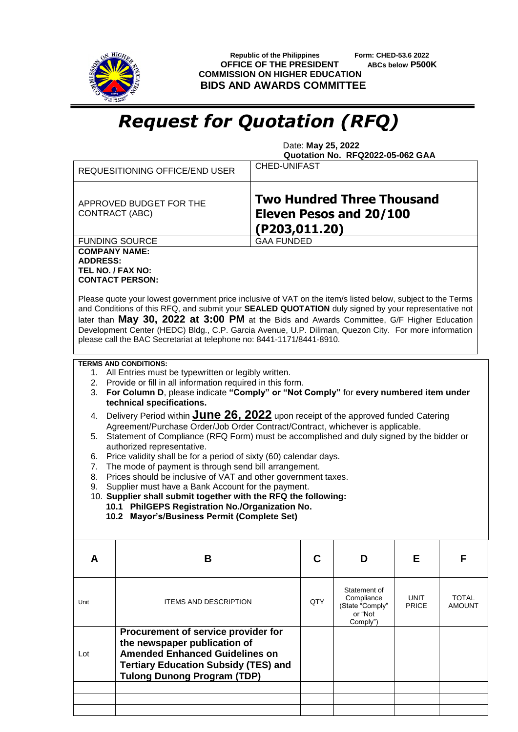

 **Republic of the Philippines Form: CHED-53.6 2022 OFFICE OF THE PRESIDENT ABCs below P500K COMMISSION ON HIGHER EDUCATION BIDS AND AWARDS COMMITTEE**

## *Request for Quotation (RFQ)*

 Date: **May 25, 2022 Quotation No. RFQ2022-05-062 GAA**

| <b>Two Hundred Three Thousand</b><br>APPROVED BUDGET FOR THE<br><b>Eleven Pesos and 20/100</b><br>CONTRACT (ABC)<br>(P203,011.20)<br><b>GAA FUNDED</b><br><b>FUNDING SOURCE</b><br><b>COMPANY NAME:</b><br><b>ADDRESS:</b><br>TEL NO. / FAX NO:<br><b>CONTACT PERSON:</b><br>Please quote your lowest government price inclusive of VAT on the item/s listed below, subject to the Terms<br>and Conditions of this RFQ, and submit your SEALED QUOTATION duly signed by your representative not<br>later than May 30, 2022 at 3:00 PM at the Bids and Awards Committee, G/F Higher Education<br>Development Center (HEDC) Bldg., C.P. Garcia Avenue, U.P. Diliman, Quezon City. For more information<br>please call the BAC Secretariat at telephone no: 8441-1171/8441-8910.<br><b>TERMS AND CONDITIONS:</b><br>1. All Entries must be typewritten or legibly written.<br>2. Provide or fill in all information required in this form.<br>For Column D, please indicate "Comply" or "Not Comply" for every numbered item under<br>3.<br>technical specifications.<br>Delivery Period within <b>June 26, 2022</b> upon receipt of the approved funded Catering<br>4.<br>Agreement/Purchase Order/Job Order Contract/Contract, whichever is applicable.<br>Statement of Compliance (RFQ Form) must be accomplished and duly signed by the bidder or<br>5.<br>authorized representative.<br>Price validity shall be for a period of sixty (60) calendar days.<br>6.<br>The mode of payment is through send bill arrangement.<br>7.<br>Prices should be inclusive of VAT and other government taxes.<br>8.<br>Supplier must have a Bank Account for the payment.<br>9.<br>10. Supplier shall submit together with the RFQ the following:<br>10.1 PhilGEPS Registration No./Organization No.<br>10.2 Mayor's/Business Permit (Complete Set)<br>C<br>В<br>D<br>Е<br>F<br>A<br>Statement of<br>Compliance<br>UNIT<br><b>TOTAL</b><br>QTY<br>Unit<br><b>ITEMS AND DESCRIPTION</b><br><b>PRICE</b><br>(State "Comply"<br>AMOUNT<br>or "Not<br>Comply")<br>Procurement of service provider for<br>the newspaper publication of<br><b>Amended Enhanced Guidelines on</b><br>Lot<br><b>Tertiary Education Subsidy (TES) and</b><br><b>Tulong Dunong Program (TDP)</b> |  | <b>REQUESITIONING OFFICE/END USER</b> | <b>CHED-UNIFAST</b> |  |  |  |  |  |  |  |  |
|------------------------------------------------------------------------------------------------------------------------------------------------------------------------------------------------------------------------------------------------------------------------------------------------------------------------------------------------------------------------------------------------------------------------------------------------------------------------------------------------------------------------------------------------------------------------------------------------------------------------------------------------------------------------------------------------------------------------------------------------------------------------------------------------------------------------------------------------------------------------------------------------------------------------------------------------------------------------------------------------------------------------------------------------------------------------------------------------------------------------------------------------------------------------------------------------------------------------------------------------------------------------------------------------------------------------------------------------------------------------------------------------------------------------------------------------------------------------------------------------------------------------------------------------------------------------------------------------------------------------------------------------------------------------------------------------------------------------------------------------------------------------------------------------------------------------------------------------------------------------------------------------------------------------------------------------------------------------------------------------------------------------------------------------------------------------------------------------------------------------------------------------------------------------------------------------------------------------------------------------------------|--|---------------------------------------|---------------------|--|--|--|--|--|--|--|--|
|                                                                                                                                                                                                                                                                                                                                                                                                                                                                                                                                                                                                                                                                                                                                                                                                                                                                                                                                                                                                                                                                                                                                                                                                                                                                                                                                                                                                                                                                                                                                                                                                                                                                                                                                                                                                                                                                                                                                                                                                                                                                                                                                                                                                                                                            |  |                                       |                     |  |  |  |  |  |  |  |  |
|                                                                                                                                                                                                                                                                                                                                                                                                                                                                                                                                                                                                                                                                                                                                                                                                                                                                                                                                                                                                                                                                                                                                                                                                                                                                                                                                                                                                                                                                                                                                                                                                                                                                                                                                                                                                                                                                                                                                                                                                                                                                                                                                                                                                                                                            |  |                                       |                     |  |  |  |  |  |  |  |  |
|                                                                                                                                                                                                                                                                                                                                                                                                                                                                                                                                                                                                                                                                                                                                                                                                                                                                                                                                                                                                                                                                                                                                                                                                                                                                                                                                                                                                                                                                                                                                                                                                                                                                                                                                                                                                                                                                                                                                                                                                                                                                                                                                                                                                                                                            |  |                                       |                     |  |  |  |  |  |  |  |  |
|                                                                                                                                                                                                                                                                                                                                                                                                                                                                                                                                                                                                                                                                                                                                                                                                                                                                                                                                                                                                                                                                                                                                                                                                                                                                                                                                                                                                                                                                                                                                                                                                                                                                                                                                                                                                                                                                                                                                                                                                                                                                                                                                                                                                                                                            |  |                                       |                     |  |  |  |  |  |  |  |  |
|                                                                                                                                                                                                                                                                                                                                                                                                                                                                                                                                                                                                                                                                                                                                                                                                                                                                                                                                                                                                                                                                                                                                                                                                                                                                                                                                                                                                                                                                                                                                                                                                                                                                                                                                                                                                                                                                                                                                                                                                                                                                                                                                                                                                                                                            |  |                                       |                     |  |  |  |  |  |  |  |  |
|                                                                                                                                                                                                                                                                                                                                                                                                                                                                                                                                                                                                                                                                                                                                                                                                                                                                                                                                                                                                                                                                                                                                                                                                                                                                                                                                                                                                                                                                                                                                                                                                                                                                                                                                                                                                                                                                                                                                                                                                                                                                                                                                                                                                                                                            |  |                                       |                     |  |  |  |  |  |  |  |  |
|                                                                                                                                                                                                                                                                                                                                                                                                                                                                                                                                                                                                                                                                                                                                                                                                                                                                                                                                                                                                                                                                                                                                                                                                                                                                                                                                                                                                                                                                                                                                                                                                                                                                                                                                                                                                                                                                                                                                                                                                                                                                                                                                                                                                                                                            |  |                                       |                     |  |  |  |  |  |  |  |  |
|                                                                                                                                                                                                                                                                                                                                                                                                                                                                                                                                                                                                                                                                                                                                                                                                                                                                                                                                                                                                                                                                                                                                                                                                                                                                                                                                                                                                                                                                                                                                                                                                                                                                                                                                                                                                                                                                                                                                                                                                                                                                                                                                                                                                                                                            |  |                                       |                     |  |  |  |  |  |  |  |  |
|                                                                                                                                                                                                                                                                                                                                                                                                                                                                                                                                                                                                                                                                                                                                                                                                                                                                                                                                                                                                                                                                                                                                                                                                                                                                                                                                                                                                                                                                                                                                                                                                                                                                                                                                                                                                                                                                                                                                                                                                                                                                                                                                                                                                                                                            |  |                                       |                     |  |  |  |  |  |  |  |  |
|                                                                                                                                                                                                                                                                                                                                                                                                                                                                                                                                                                                                                                                                                                                                                                                                                                                                                                                                                                                                                                                                                                                                                                                                                                                                                                                                                                                                                                                                                                                                                                                                                                                                                                                                                                                                                                                                                                                                                                                                                                                                                                                                                                                                                                                            |  |                                       |                     |  |  |  |  |  |  |  |  |